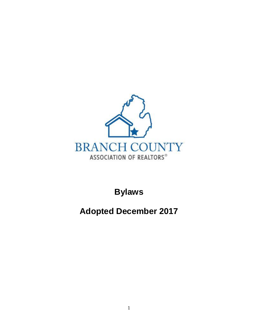

**Bylaws**

**Adopted December 2017**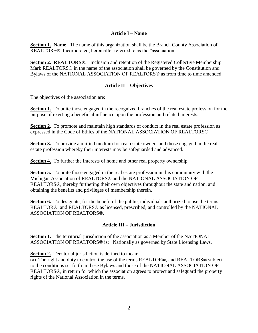# **Article I – Name**

**Section 1. Name.** The name of this organization shall be the Branch County Association of REALTORS®, Incorporated, hereinafter referred to as the "association".

**Section 2. REALTORS®**. Inclusion and retention of the Registered Collective Membership Mark REALTORS<sup>®</sup> in the name of the association shall be governed by the Constitution and Bylaws of the NATIONAL ASSOCIATION OF REALTORS® as from time to time amended.

# **Article II – Objectives**

The objectives of the association are:

**Section 1.** To unite those engaged in the recognized branches of the real estate profession for the purpose of exerting a beneficial influence upon the profession and related interests.

**Section 2.** To promote and maintain high standards of conduct in the real estate profession as expressed in the Code of Ethics of the NATIONAL ASSOCIATION OF REALTORS®.

**Section 3.** To provide a unified medium for real estate owners and those engaged in the real estate profession whereby their interests may be safeguarded and advanced.

**Section 4.** To further the interests of home and other real property ownership.

**Section 5.** To unite those engaged in the real estate profession in this community with the Michigan Association of REALTORS® and the NATIONAL ASSOCIATION OF REALTORS®, thereby furthering their own objectives throughout the state and nation, and obtaining the benefits and privileges of membership therein.

**Section 6.** To designate, for the benefit of the public, individuals authorized to use the terms REALTOR® and REALTORS® as licensed, prescribed, and controlled by the NATIONAL ASSOCIATION OF REALTORS®.

# **Article III – Jurisdiction**

**Section 1.** The territorial jurisdiction of the association as a Member of the NATIONAL ASSOCIATION OF REALTORS® is: Nationally as governed by State Licensing Laws.

**Section 2.** Territorial jurisdiction is defined to mean:

(a) The right and duty to control the use of the terms REALTOR®, and REALTORS® subject to the conditions set forth in these Bylaws and those of the NATIONAL ASSOCIATION OF REALTORS®, in return for which the association agrees to protect and safeguard the property rights of the National Association in the terms.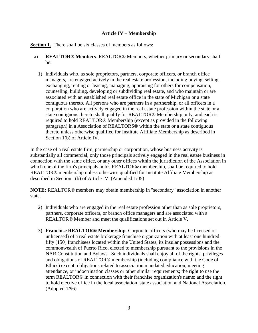# **Article IV – Membership**

**Section 1.** There shall be six classes of members as follows:

- a) **REALTOR® Members**. REALTOR® Members, whether primary or secondary shall be:
	- 1) Individuals who, as sole proprietors, partners, corporate officers, or branch office managers, are engaged actively in the real estate profession, including buying, selling, exchanging, renting or leasing, managing, appraising for others for compensation, counseling, building, developing or subdividing real estate, and who maintain or are associated with an established real estate office in the state of Michigan or a state contiguous thereto. All persons who are partners in a partnership, or all officers in a corporation who are actively engaged in the real estate profession within the state or a state contiguous thereto shall qualify for REALTOR® Membership only, and each is required to hold REALTOR® Membership (except as provided in the following paragraph) in a Association of REALTORS® within the state or a state contiguous thereto unless otherwise qualified for Institute Affiliate Membership as described in Section 1(b) of Article IV.

In the case of a real estate firm, partnership or corporation, whose business activity is substantially all commercial, only those principals actively engaged in the real estate business in connection with the same office, or any other offices within the jurisdiction of the Association in which one of the firm's principals holds REALTOR<sup>®</sup> membership, shall be required to hold REALTOR® membership unless otherwise qualified for Institute Affiliate Membership as described in Section 1(b) of Article IV. (Amended 1/05)

**NOTE:** REALTOR® members may obtain membership in "secondary" association in another state.

- 2) Individuals who are engaged in the real estate profession other than as sole proprietors, partners, corporate officers, or branch office managers and are associated with a REALTOR® Member and meet the qualifications set out in Article V.
- 3) **Franchise REALTOR® Membership**. Corporate officers (who may be licensed or unlicensed) of a real estate brokerage franchise organization with at least one hundred fifty (150) franchisees located within the United States, its insular possessions and the commonwealth of Puerto Rico, elected to membership pursuant to the provisions in the NAR Constitution and Bylaws. Such individuals shall enjoy all of the rights, privileges and obligations of REALTOR® membership (including compliance with the Code of Ethics) except: obligations related to association mandated education, meeting attendance, or indoctrination classes or other similar requirements; the right to use the term REALTOR® in connection with their franchise organization's name; and the right to hold elective office in the local association, state association and National Association. (Adopted 1/96)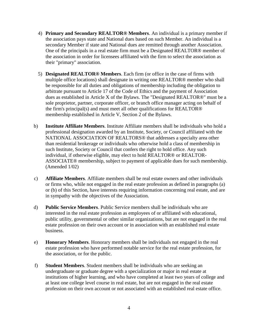- 4) **Primary and Secondary REALTOR® Members**. An individual is a primary member if the association pays state and National dues based on such Member. An individual is a secondary Member if state and National dues are remitted through another Association. One of the principals in a real estate firm must be a Designated REALTOR® member of the association in order for licensees affiliated with the firm to select the association as their "primary" association.
- 5) **Designated REALTOR® Members**. Each firm (or office in the case of firms with multiple office locations) shall designate in writing one REALTOR® member who shall be responsible for all duties and obligations of membership including the obligation to arbitrate pursuant to Article 17 of the Code of Ethics and the payment of Association dues as established in Article X of the Bylaws. The "Designated REALTOR®" must be a sole proprietor, partner, corporate officer, or branch office manager acting on behalf of the firm's principal(s) and must meet all other qualifications for REALTOR® membership established in Article V, Section 2 of the Bylaws.
- b) **Institute Affiliate Members**. Institute Affiliate members shall be individuals who hold a professional designation awarded by an Institute, Society, or Council affiliated with the NATIONAL ASSOCIATION OF REALTORS® that addresses a specialty area other than residential brokerage or individuals who otherwise hold a class of membership in such Institute, Society or Council that confers the right to hold office. Any such individual, if otherwise eligible, may elect to hold REALTOR® or REALTOR-ASSOCIATE® membership, subject to payment of applicable dues for such membership. (Amended 1/02)
- c) **Affiliate Members**. Affiliate members shall be real estate owners and other individuals or firms who, while not engaged in the real estate profession as defined in paragraphs (a) or (b) of this Section, have interests requiring information concerning real estate, and are in sympathy with the objectives of the Association.
- d) **Public Service Members**. Public Service members shall be individuals who are interested in the real estate profession as employees of or affiliated with educational, public utility, governmental or other similar organizations, but are not engaged in the real estate profession on their own account or in association with an established real estate business.
- e) **Honorary Members**. Honorary members shall be individuals not engaged in the real estate profession who have performed notable service for the real estate profession, for the association, or for the public.
- f) **Student Members**. Student members shall be individuals who are seeking an undergraduate or graduate degree with a specialization or major in real estate at institutions of higher learning, and who have completed at least two years of college and at least one college level course in real estate, but are not engaged in the real estate profession on their own account or not associated with an established real estate office.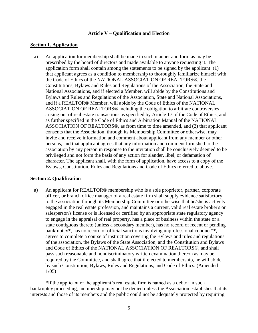#### **Article V – Qualification and Election**

#### **Section 1. Application**

a) An application for membership shall be made in such manner and form as may be prescribed by the board of directors and made available to anyone requesting it. The application form shall contain among the statements to be signed by the applicant (1) that applicant agrees as a condition to membership to thoroughly familiarize himself with the Code of Ethics of the NATIONAL ASSOCIATION OF REALTORS®, the Constitutions, Bylaws and Rules and Regulations of the Association, the State and National Associations, and if elected a Member, will abide by the Constitutions and Bylaws and Rules and Regulations of the Association, State and National Associations, and if a REALTOR® Member, will abide by the Code of Ethics of the NATIONAL ASSOCIATION OF REALTORS® including the obligation to arbitrate controversies arising out of real estate transactions as specified by Article 17 of the Code of Ethics, and as further specified in the Code of Ethics and Arbitration Manual of the NATIONAL ASSOCIATION OF REALTORS®, as from time to time amended, and (2) that applicant consents that the Association, through its Membership Committee or otherwise, may invite and receive information and comment about applicant from any member or other persons, and that applicant agrees that any information and comment furnished to the association by any person in response to the invitation shall be conclusively deemed to be privileged and not form the basis of any action for slander, libel, or defamation of character. The applicant shall, with the form of application, have access to a copy of the Bylaws, Constitution, Rules and Regulations and Code of Ethics referred to above.

### **Section 2. Qualification**

a) An applicant for REALTOR® membership who is a sole proprietor, partner, corporate officer, or branch office manager of a real estate firm shall supply evidence satisfactory to the association through its Membership Committee or otherwise that he/she is actively engaged in the real estate profession, and maintains a current, valid real estate broker's or salesperson's license or is licensed or certified by an appropriate state regulatory agency to engage in the appraisal of real property, has a place of business within the state or a state contiguous thereto (unless a secondary member), has no record of recent or pending bankruptcy\*, has no record of official sanctions involving unprofessional conduct\*\*, agrees to complete a course of instruction covering the Bylaws and rules and regulations of the association, the Bylaws of the State Association, and the Constitution and Bylaws and Code of Ethics of the NATIONAL ASSOCIATION OF REALTORS®, and shall pass such reasonable and nondiscriminatory written examination thereon as may be required by the Committee, and shall agree that if elected to membership, he will abide by such Constitution, Bylaws, Rules and Regulations, and Code of Ethics. (Amended 1/05)

\*If the applicant or the applicant's real estate firm is named as a debtor in such bankruptcy proceeding, membership may not be denied unless the Association establishes that its interests and those of its members and the public could not be adequately protected by requiring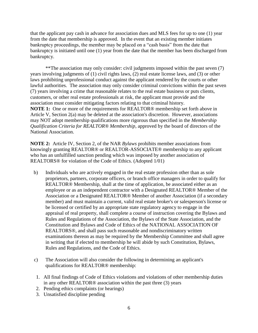that the applicant pay cash in advance for association dues and MLS fees for up to one (1) year from the date that membership is approved. In the event that an existing member initiates bankruptcy proceedings, the member may be placed on a "cash basis" from the date that bankruptcy is initiated until one (1) year from the date that the member has been discharged from bankruptcy.

\*\*The association may only consider: civil judgments imposed within the past seven (7) years involving judgments of (1) civil rights laws, (2) real estate license laws, and (3) or other laws prohibiting unprofessional conduct against the applicant rendered by the courts or other lawful authorities. The association may only consider criminal convictions within the past seven (7) years involving a crime that reasonable relates to the real estate business or puts clients, customers, or other real estate professionals at risk, the applicant must provide and the association must consider mitigating factors relating to that criminal history. **NOTE 1:** One or more of the requirements for REALTOR® membership set forth above in Article V, Section 2(a) may be deleted at the association's discretion. However, associations may NOT adopt membership qualifications more rigorous than specified in the *Membership Qualification Criteria for REALTOR® Membership*, approved by the board of directors of the National Association.

**NOTE 2:** Article IV, Section 2, of the NAR *Bylaws* prohibits member associations from knowingly granting REALTOR® or REALTOR-ASSOCIATE® membership to any applicant who has an unfulfilled sanction pending which was imposed by another association of REALTORS® for violation of the Code of Ethics. (Adopted 1/01)

- b) Individuals who are actively engaged in the real estate profession other than as sole proprietors, partners, corporate officers, or branch office managers in order to qualify for REALTOR® Membership, shall at the time of application, be associated either as an employee or as an independent contractor with a Designated REALTOR® Member of the Association or a Designated REALTOR® Member of another Association (if a secondary member) and must maintain a current, valid real estate broker's or salesperson's license or be licensed or certified by an appropriate state regulatory agency to engage in the appraisal of real property, shall complete a course of instruction covering the Bylaws and Rules and Regulations of the Association, the Bylaws of the State Association, and the Constitution and Bylaws and Code of Ethics of the NATIONAL ASSOCIATION OF REALTORS®, and shall pass such reasonable and nondiscriminatory written examinations thereon as may be required by the Membership Committee and shall agree in writing that if elected to membership he will abide by such Constitution, Bylaws, Rules and Regulations, and the Code of Ethics.
- c) The Association will also consider the following in determining an applicant's qualifications for REALTOR® membership:
- 1. All final findings of Code of Ethics violations and violations of other membership duties in any other REALTOR® association within the past three (3) years
- 2. Pending ethics complaints (or hearings)
- 3. Unsatisfied discipline pending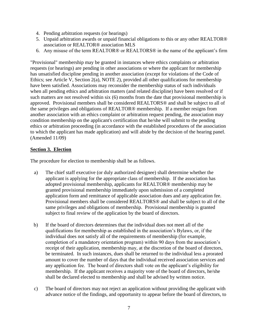- 4. Pending arbitration requests (or hearings)
- 5. Unpaid arbitration awards or unpaid financial obligations to this or any other REALTOR® association or REALTOR® association MLS
- 6. Any misuse of the term REALTOR® or REALTORS® in the name of the applicant's firm

"Provisional" membership may be granted in instances where ethics complaints or arbitration requests (or hearings) are pending in other associations or where the applicant for membership has unsatisfied discipline pending in another association (except for violations of the Code of Ethics; see Article V, Section 2(a), NOTE 2), provided all other qualifications for membership have been satisfied. Associations may reconsider the membership status of such individuals when all pending ethics and arbitration matters (and related discipline) have been resolved or if such matters are not resolved within six (6) months from the date that provisional membership is approved. Provisional members shall be considered REALTORS® and shall be subject to all of the same privileges and obligations of REALTOR® membership. If a member resigns from another association with an ethics complaint or arbitration request pending, the association may condition membership on the applicant's certification that he/she will submit to the pending ethics or arbitration proceeding (in accordance with the established procedures of the association to which the applicant has made application) and will abide by the decision of the hearing panel. (Amended 11/09)

### **Section 3. Election**

The procedure for election to membership shall be as follows.

- a) The chief staff executive (or duly authorized designee) shall determine whether the applicant is applying for the appropriate class of membership. If the association has adopted provisional membership, applicants for REALTOR® membership may be granted provisional membership immediately upon submission of a completed application form and remittance of applicable association dues and any application fee. Provisional members shall be considered REALTORS® and shall be subject to all of the same privileges and obligations of membership. Provisional membership is granted subject to final review of the application by the board of directors.
- b) If the board of directors determines that the individual does not meet all of the qualifications for membership as established in the association's Bylaws, or, if the individual does not satisfy all of the requirements of membership (for example, completion of a mandatory orientation program) within 90 days from the association's receipt of their application, membership may, at the discretion of the board of directors, be terminated. In such instances, dues shall be returned to the individual less a prorated amount to cover the number of days that the individual received association services and any application fee. The board of directors shall vote on the applicant's eligibility for membership. If the applicant receives a majority vote of the board of directors, he/she shall be declared elected to membership and shall be advised by written notice.
- c) The board of directors may not reject an application without providing the applicant with advance notice of the findings, and opportunity to appear before the board of directors, to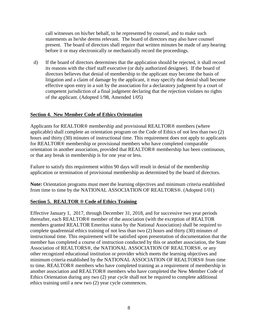call witnesses on his/her behalf, to be represented by counsel, and to make such statements as he/she deems relevant. The board of directors may also have counsel present. The board of directors shall require that written minutes be made of any hearing before it or may electronically or mechanically record the proceedings.

d) If the board of directors determines that the application should be rejected, it shall record its reasons with the chief staff executive (or duly authorized designee). If the board of directors believes that denial of membership to the applicant may become the basis of litigation and a claim of damage by the applicant, it may specify that denial shall become effective upon entry in a suit by the association for a declaratory judgment by a court of competent jurisdiction of a final judgment declaring that the rejection violates no rights of the applicant. (Adopted 1/98, Amended 1/05)

# **Section 4. New Member Code of Ethics Orientation**

Applicants for REALTOR® membership and provisional REALTOR® members (where applicable) shall complete an orientation program on the Code of Ethics of not less than two (2) hours and thirty (30) minutes of instructional time. This requirement does not apply to applicants for REALTOR® membership or provisional members who have completed comparable orientation in another association, provided that REALTOR® membership has been continuous, or that any break in membership is for one year or less.

Failure to satisfy this requirement within 90 days will result in denial of the membership application or termination of provisional membership as determined by the board of directors.

**Note:** Orientation programs must meet the learning objectives and minimum criteria established from time to time by the NATIONAL ASSOCIATION OF REALTORS®. (Adopted 1/01)

### **Section 5. REALTOR ® Code of Ethics Training**

Effective January 1, 2017, through December 31, 2018, and for successive two year periods thereafter, each REALTOR® member of the association (with the exception of REALTOR members granted REALTOR Emeritus status by the National Association) shall be required to complete quadrennial ethics training of not less than two (2) hours and thirty (30) minutes of instructional time. This requirement will be satisfied upon presentation of documentation that the member has completed a course of instruction conducted by this or another association, the State Association of REALTORS®, the NATIONAL ASSOCIATION OF REALTORS®, or any other recognized educational institution or provider which meets the learning objectives and minimum criteria established by the NATIONAL ASSOCIATION OF REALTORS® from time to time. REALTOR® members who have completed training as a requirement of membership in another association and REALTOR® members who have completed the New Member Code of Ethics Orientation during any two (2) year cycle shall not be required to complete additional ethics training until a new two (2) year cycle commences.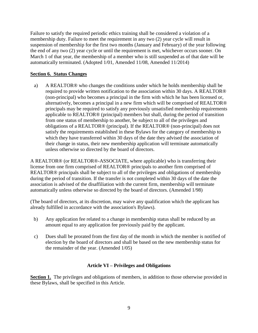Failure to satisfy the required periodic ethics training shall be considered a violation of a membership duty. Failure to meet the requirement in any two (2) year cycle will result in suspension of membership for the first two months (January and February) of the year following the end of any two (2) year cycle or until the requirement is met, whichever occurs sooner. On March 1 of that year, the membership of a member who is still suspended as of that date will be automatically terminated. (Adopted 1/01, Amended 11/08, Amended 11/2014)

# **Section 6. Status Changes**

a) A REALTOR® who changes the conditions under which he holds membership shall be required to provide written notification to the association within 30 days. A REALTOR® (non-principal) who becomes a principal in the firm with which he has been licensed or, alternatively, becomes a principal in a new firm which will be comprised of REALTOR® principals may be required to satisfy any previously unsatisfied membership requirements applicable to REALTOR® (principal) members but shall, during the period of transition from one status of membership to another, be subject to all of the privileges and obligations of a REALTOR® (principal). If the REALTOR® (non-principal) does not satisfy the requirements established in these Bylaws for the category of membership to which they have transferred within 30 days of the date they advised the association of their change in status, their new membership application will terminate automatically unless otherwise so directed by the board of directors.

A REALTOR® (or REALTOR®-ASSOCIATE, where applicable) who is transferring their license from one firm comprised of REALTOR® principals to another firm comprised of REALTOR® principals shall be subject to all of the privileges and obligations of membership during the period of transition. If the transfer is not completed within 30 days of the date the association is advised of the disaffiliation with the current firm, membership will terminate automatically unless otherwise so directed by the board of directors. (Amended 1/98)

(The board of directors, at its discretion, may waive any qualification which the applicant has already fulfilled in accordance with the association's Bylaws).

- b) Any application fee related to a change in membership status shall be reduced by an amount equal to any application fee previously paid by the applicant.
- c) Dues shall be prorated from the first day of the month in which the member is notified of election by the board of directors and shall be based on the new membership status for the remainder of the year. (Amended 1/05)

### **Article VI – Privileges and Obligations**

**Section 1.** The privileges and obligations of members, in addition to those otherwise provided in these Bylaws, shall be specified in this Article.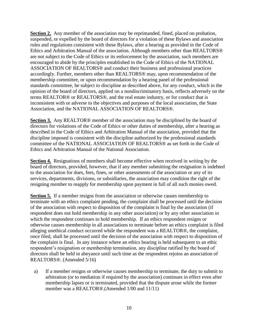**Section 2.** Any member of the association may be reprimanded, fined, placed on probation, suspended, or expelled by the board of directors for a violation of these Bylaws and association rules and regulations consistent with these Bylaws, after a hearing as provided in the Code of Ethics and Arbitration Manual of the association. Although members other than REALTORS® are not subject to the Code of Ethics or its enforcement by the association, such members are encouraged to abide by the principles established in the Code of Ethics of the NATIONAL ASSOCIATION OF REALTORS® and conduct their business and professional practices accordingly. Further, members other than REALTORS® may, upon recommendation of the membership committee, or upon recommendation by a hearing panel of the professional standards committee, be subject to discipline as described above, for any conduct, which in the opinion of the board of directors, applied on a nondiscriminatory basis, reflects adversely on the terms REALTOR® or REALTORS®, and the real estate industry, or for conduct that is inconsistent with or adverse to the objectives and purposes of the local association, the State Association, and the NATIONAL ASSOCIATION OF REALTORS®.

**Section 3.** Any REALTOR® member of the association may be disciplined by the board of directors for violations of the Code of Ethics or other duties of membership, after a hearing as described in the Code of Ethics and Arbitration Manual of the association, provided that the discipline imposed is consistent with the discipline authorized by the professional standards committee of the NATIONAL ASSOCIATION OF REALTORS® as set forth in the Code of Ethics and Arbitration Manual of the National Association.

**Section 4.** Resignations of members shall become effective when received in writing by the board of directors, provided, however, that if any member submitting the resignation is indebted to the association for dues, fees, fines, or other assessments of the association or any of its services, departments, divisions, or subsidiaries, the association may condition the right of the resigning member to reapply for membership upon payment in full of all such monies owed.

**Section 5.** If a member resigns from the association or otherwise causes membership to terminate with an ethics complaint pending, the complaint shall be processed until the decision of the association with respect to disposition of the complaint is final by the association (if respondent does not hold membership in any other association) or by any other association in which the respondent continues to hold membership. If an ethics respondent resigns or otherwise causes membership in all associations to terminate before an ethics complaint is filed alleging unethical conduct occurred while the respondent was a REALTOR®, the complaint, once filed, shall be processed until the decision of the association with respect to disposition of the complaint is final. In any instance where an ethics hearing is held subsequent to an ethic respondent's resignation or membership termination, any discipline ratified by the board of directors shall be held in abeyance until such time as the respondent rejoins an association of REALTORS®. (Amended 5/16)

a) If a member resigns or otherwise causes membership to terminate, the duty to submit to arbitration (or to mediation if required by the association) continues in effect even after membership lapses or is terminated, provided that the dispute arose while the former member was a REALTOR®.(Amended 1/00 and 11/11)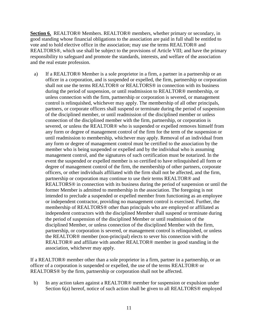**Section 6.** REALTOR® Members. REALTOR® members, whether primary or secondary, in good standing whose financial obligations to the association are paid in full shall be entitled to vote and to hold elective office in the association; may use the terms REALTOR® and REALTORS®, which use shall be subject to the provisions of Article VIII; and have the primary responsibility to safeguard and promote the standards, interests, and welfare of the association and the real estate profession.

a) If a REALTOR® Member is a sole proprietor in a firm, a partner in a partnership or an officer in a corporation, and is suspended or expelled, the firm, partnership or corporation shall not use the terms REALTOR® or REALTORS® in connection with its business during the period of suspension, or until readmission to REALTOR® membership, or unless connection with the firm, partnership or corporation is severed, or management control is relinquished, whichever may apply. The membership of all other principals, partners, or corporate officers shall suspend or terminate during the period of suspension of the disciplined member, or until readmission of the disciplined member or unless connection of the disciplined member with the firm, partnership, or corporation is severed, or unless the REALTOR® who is suspended or expelled removes himself from any form or degree of management control of the firm for the term of the suspension or until readmission to membership, whichever may apply. Removal of an individual from any form or degree of management control must be certified to the association by the member who is being suspended or expelled and by the individual who is assuming management control, and the signatures of such certification must be notarized. In the event the suspended or expelled member is so certified to have relinquished all form or degree of management control of the firm, the membership of other partners, corporate officers, or other individuals affiliated with the firm shall not be affected, and the firm, partnership or corporation may continue to use their terms REALTOR® and REALTORS® in connection with its business during the period of suspension or until the former Member is admitted to membership in the association. The foregoing is not intended to preclude a suspended or expelled member from functioning as an employee or independent contractor, providing no management control is exercised. Further, the membership of REALTORS® other than principals who are employed or affiliated as independent contractors with the disciplined Member shall suspend or terminate during the period of suspension of the disciplined Member or until readmission of the disciplined Member, or unless connection of the disciplined Member with the firm, partnership, or corporation is severed, or management control is relinquished, or unless the REALTOR® member (non-principal) elects to sever his connection with the REALTOR® and affiliate with another REALTOR® member in good standing in the association, whichever may apply.

If a REALTOR® member other than a sole proprietor in a firm, partner in a partnership, or an officer of a corporation is suspended or expelled, the use of the terms REALTOR® or REALTORS® by the firm, partnership or corporation shall not be affected.

b) In any action taken against a REALTOR® member for suspension or expulsion under Section 6(a) hereof, notice of such action shall be given to all REALTORS<sup>®</sup> employed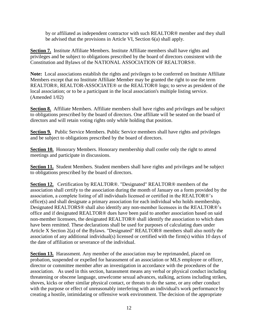by or affiliated as independent contractor with such REALTOR® member and they shall be advised that the provisions in Article VI, Section 6(a) shall apply.

**Section 7.** Institute Affiliate Members. Institute Affiliate members shall have rights and privileges and be subject to obligations prescribed by the board of directors consistent with the Constitution and Bylaws of the NATIONAL ASSOCIATION OF REALTORS®.

**Note:** Local associations establish the rights and privileges to be conferred on Institute Affiliate Members except that no Institute Affiliate Member may be granted the right to use the term REALTOR®, REALTOR-ASSOCIATE® or the REALTOR® logo; to serve as president of the local association; or to be a participant in the local association's multiple listing service. (Amended 1/02)

**Section 8.** Affiliate Members. Affiliate members shall have rights and privileges and be subject to obligations prescribed by the board of directors. One affiliate will be seated on the board of directors and will retain voting rights only while holding that position.

**Section 9.** Public Service Members. Public Service members shall have rights and privileges and be subject to obligations prescribed by the board of directors.

**Section 10.** Honorary Members. Honorary membership shall confer only the right to attend meetings and participate in discussions.

**Section 11.** Student Members. Student members shall have rights and privileges and be subject to obligations prescribed by the board of directors.

**Section 12.** Certification by REALTOR®. "Designated" REALTOR® members of the association shall certify to the association during the month of January on a form provided by the association, a complete listing of all individuals licensed or certified in the REALTOR®'s office(s) and shall designate a primary association for each individual who holds membership. Designated REALTORS® shall also identify any non-member licensees in the REALTOR®'s office and if designated REALTOR® dues have been paid to another association based on said non-member licensees, the designated REALTOR® shall identify the association to which dues have been remitted. These declarations shall be used for purposes of calculating dues under Article X Section 2(a) of the Bylaws. "Designated" REALTOR® members shall also notify the association of any additional individual(s) licensed or certified with the firm(s) within 10 days of the date of affiliation or severance of the individual.

**Section 13.** Harassment. Any member of the association may be reprimanded, placed on probation, suspended or expelled for harassment of an association or MLS employee or officer, director or committee member after an investigation in accordance with the procedures of the association. As used in this section, harassment means any verbal or physical conduct including threatening or obscene language, unwelcome sexual advances, stalking, actions including strikes, shoves, kicks or other similar physical contact, or threats to do the same, or any other conduct with the purpose or effect of unreasonably interfering with an individual's work performance by creating a hostile, intimidating or offensive work environment. The decision of the appropriate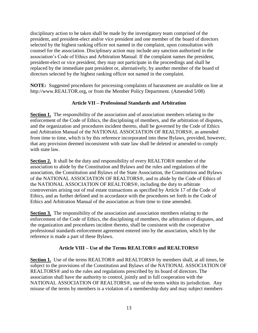disciplinary action to be taken shall be made by the investigatory team comprised of the president, and president-elect and/or vice president and one member of the board of directors selected by the highest ranking officer not named in the complaint, upon consultation with counsel for the association. Disciplinary action may include any sanction authorized in the association's Code of Ethics and Arbitration Manual. If the complaint names the president, president-elect or vice president, they may not participate in the proceedings and shall be replaced by the immediate past president or, alternatively, by another member of the board of directors selected by the highest ranking officer not named in the complaint.

**NOTE:** Suggested procedures for processing complaints of harassment are available on line at http://www.REALTOR.org, or from the Member Policy Department. (Amended 5/08)

# **Article VII – Professional Standards and Arbitration**

**Section 1.** The responsibility of the association and of association members relating to the enforcement of the Code of Ethics, the disciplining of members, and the arbitration of disputes, and the organization and procedures incident thereto, shall be governed by the Code of Ethics and Arbitration Manual of the NATIONAL ASSOCIATION OF REALTORS®, as amended from time to time, which is by this reference incorporated into these Bylaws, provided, however, that any provision deemed inconsistent with state law shall be deleted or amended to comply with state law.

**Section 2.** It shall be the duty and responsibility of every REALTOR® member of the association to abide by the Constitution and Bylaws and the rules and regulations of the association, the Constitution and Bylaws of the State Association, the Constitution and Bylaws of the NATIONAL ASSOCIATION OF REALTORS®, and to abide by the Code of Ethics of the NATIONAL ASSOCIATION OF REALTORS®, including the duty to arbitrate controversies arising out of real estate transactions as specified by Article 17 of the Code of Ethics, and as further defined and in accordance with the procedures set forth in the Code of Ethics and Arbitration Manual of the association as from time to time amended.

**Section 3.** The responsibility of the association and association members relating to the enforcement of the Code of Ethics, the disciplining of members, the arbitration of disputes, and the organization and procedures incident thereto, shall be consistent with the cooperative professional standards enforcement agreement entered into by the association, which by the reference is made a part of these Bylaws.

### **Article VIII – Use of the Terms REALTOR® and REALTORS®**

**Section 1.** Use of the terms REALTOR® and REALTORS® by members shall, at all times, be subject to the provisions of the Constitution and Bylaws of the NATIONAL ASSOCIATION OF REALTORS® and to the rules and regulations prescribed by its board of directors. The association shall have the authority to control, jointly and in full cooperation with the NATIONAL ASSOCIATION OF REALTORS®, use of the terms within its jurisdiction. Any misuse of the terms by members is a violation of a membership duty and may subject members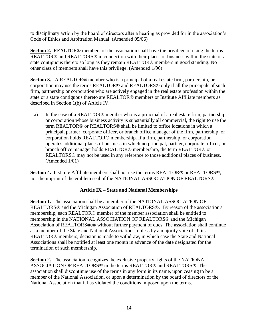to disciplinary action by the board of directors after a hearing as provided for in the association's Code of Ethics and Arbitration Manual. (Amended 05/06)

**Section 2.** REALTOR® members of the association shall have the privilege of using the terms REALTOR® and REALTORS® in connection with their places of business within the state or a state contiguous thereto so long as they remain REALTOR® members in good standing. No other class of members shall have this privilege. (Amended 1/96)

**Section 3.** A REALTOR® member who is a principal of a real estate firm, partnership, or corporation may use the terms REALTOR® and REALTORS® only if all the principals of such firm, partnership or corporation who are actively engaged in the real estate profession within the state or a state contiguous thereto are REALTOR® members or Institute Affiliate members as described in Section 1(b) of Article IV.

a) In the case of a REALTOR® member who is a principal of a real estate firm, partnership, or corporation whose business activity is substantially all commercial, the right to use the term REALTOR® or REALTORS® shall be limited to office locations in which a principal, partner, corporate officer, or branch office manager of the firm, partnership, or corporation holds REALTOR® membership. If a firm, partnership, or corporation operates additional places of business in which no principal, partner, corporate officer, or branch office manager holds REALTOR® membership, the term REALTOR® or REALTORS® may not be used in any reference to those additional places of business. (Amended 1/01)

**Section 4.** Institute Affiliate members shall not use the terms REALTOR® or REALTORS®, nor the imprint of the emblem seal of the NATIONAL ASSOCIATION OF REALTORS®.

# **Article IX – State and National Memberships**

**Section 1.** The association shall be a member of the NATIONAL ASSOCIATION OF REALTORS® and the Michigan Association of REALTORS®. By reason of the association's membership, each REALTOR® member of the member association shall be entitled to membership in the NATIONAL ASSOCIATION OF REALTORS® and the Michigan Association of REALTORS®.® without further payment of dues. The association shall continue as a member of the State and National Associations, unless by a majority vote of all its REALTOR® members, decision is made to withdraw, in which case the State and National Associations shall be notified at least one month in advance of the date designated for the termination of such membership.

**Section 2.** The association recognizes the exclusive property rights of the NATIONAL ASSOCIATION OF REALTORS® in the terms REALTOR® and REALTORS®. The association shall discontinue use of the terms in any form in its name, upon ceasing to be a member of the National Association, or upon a determination by the board of directors of the National Association that it has violated the conditions imposed upon the terms.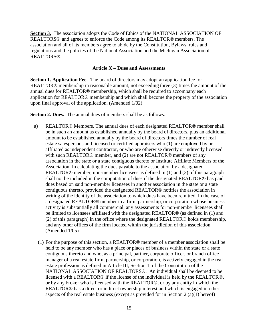**Section 3.** The association adopts the Code of Ethics of the NATIONAL ASSOCIATION OF REALTORS® and agrees to enforce the Code among its REALTOR® members. The association and all of its members agree to abide by the Constitution, Bylaws, rules and regulations and the policies of the National Association and the Michigan Association of REALTORS®.

#### **Article X – Dues and Assessments**

**Section 1. Application Fee.** The board of directors may adopt an application fee for REALTOR® membership in reasonable amount, not exceeding three (3) times the amount of the annual dues for REALTOR® membership, which shall be required to accompany each application for REALTOR® membership and which shall become the property of the association upon final approval of the application. (Amended 1/02)

**Section 2. Dues.** The annual dues of members shall be as follows:

- a) REALTOR® Members. The annual dues of each designated REALTOR® member shall be in such an amount as established annually by the board of directors, plus an additional amount to be established annually by the board of directors times the number of real estate salespersons and licensed or certified appraisers who (1) are employed by or affiliated as independent contractor, or who are otherwise directly or indirectly licensed with such REALTOR® member, and (2) are not REALTOR® members of any association in the state or a state contiguous thereto or Institute Affiliate Members of the Association. In calculating the dues payable to the association by a designated REALTOR® member, non-member licensees as defined in (1) and (2) of this paragraph shall not be included in the computation of dues if the designated REALTOR® has paid dues based on said non-member licensees in another association in the state or a state contiguous thereto, provided the designated REALTOR® notifies the association in writing of the identity of the association to which dues have been remitted. In the case of a designated REALTOR® member in a firm, partnership, or corporation whose business activity is substantially all commercial, any assessments for non-member licensees shall be limited to licensees affiliated with the designated REALTOR® (as defined in (1) and (2) of this paragraph) in the office where the designated REALTOR® holds membership, and any other offices of the firm located within the jurisdiction of this association. (Amended 1/05)
	- (1) For the purpose of this section, a REALTOR® member of a member association shall be held to be any member who has a place or places of business within the state or a state contiguous thereto and who, as a principal, partner, corporate officer, or branch office manager of a real estate firm, partnership, or corporation, is actively engaged in the real estate profession as defined in Article III, Section 1, of the Constitution of the NATIONAL ASSOCIATION OF REALTORS®. An individual shall be deemed to be licensed with a REALTOR® if the license of the individual is held by the REALTOR®, or by any broker who is licensed with the REALTOR®, or by any entity in which the REALTOR® has a direct or indirect ownership interest and which is engaged in other aspects of the real estate business (except as provided for in Section 2 (a)(1) hereof)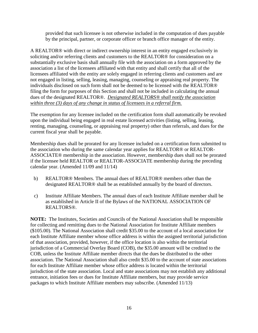provided that such licensee is not otherwise included in the computation of dues payable by the principal, partner, or corporate officer or branch office manager of the entity.

A REALTOR® with direct or indirect ownership interest in an entity engaged exclusively in soliciting and/or referring clients and customers to the REALTOR® for consideration on a substantially exclusive basis shall annually file with the association on a form approved by the association a list of the licensees affiliated with that entity and shall certify that all of the licensees affiliated with the entity are solely engaged in referring clients and customers and are not engaged in listing, selling, leasing, managing, counseling or appraising real property. The individuals disclosed on such form shall not be deemed to be licensed with the REALTOR® filing the form for purposes of this Section and shall not be included in calculating the annual dues of the designated REALTOR®. *Designated REALTORS® shall notify the association within three (3) days of any change in status of licensees in a referral firm.*

The exemption for any licensee included on the certification form shall automatically be revoked upon the individual being engaged in real estate licensed activities (listing, selling, leasing, renting, managing, counseling, or appraising real property) other than referrals, and dues for the current fiscal year shall be payable.

Membership dues shall be prorated for any licensee included on a certification form submitted to the association who during the same calendar year applies for REALTOR® or REALTOR-ASSOCIATE® membership in the association. However, membership dues shall not be prorated if the licensee held REALTOR or REALTOR-ASSOCIATE membership during the preceding calendar year. (Amended 11/09 and 11/14)

- b) REALTOR® Members. The annual dues of REALTOR® members other than the designated REALTOR® shall be as established annually by the board of directors.
- c) Institute Affiliate Members. The annual dues of each Institute Affiliate member shall be as established in Article II of the Bylaws of the NATIONAL ASSOCIATION OF REALTORS®.

**NOTE:** The Institutes, Societies and Councils of the National Association shall be responsible for collecting and remitting dues to the National Association for Institute Affiliate members (\$105.00). The National Association shall credit \$35.00 to the account of a local association for each Institute Affiliate member whose office address is within the assigned territorial jurisdiction of that association, provided, however, if the office location is also within the territorial jurisdiction of a Commercial Overlay Board (COB), the \$35.00 amount will be credited to the COB, unless the Institute Affiliate member directs that the dues be distributed to the other association. The National Association shall also credit \$35.00 to the account of state associations for each Institute Affiliate member whose office address is located within the territorial jurisdiction of the state association. Local and state associations may not establish any additional entrance, initiation fees or dues for Institute Affiliate members, but may provide service packages to which Institute Affiliate members may subscribe. (Amended 11/13)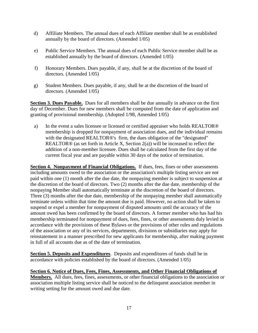- d) Affiliate Members. The annual dues of each Affiliate member shall be as established annually by the board of directors. (Amended 1/05)
- e) Public Service Members. The annual dues of each Public Service member shall be as established annually by the board of directors. (Amended 1/05)
- f) Honorary Members. Dues payable, if any, shall be at the discretion of the board of directors. (Amended 1/05)
- g) Student Members. Dues payable, if any, shall be at the discretion of the board of directors. (Amended 1/05)

**Section 3. Dues Payable.** Dues for all members shall be due annually in advance on the first day of December. Dues for new members shall be computed from the date of application and granting of provisional membership. (Adopted 1/98, Amended 1/05)

a) In the event a sales licensee or licensed or certified appraiser who holds REALTOR® membership is dropped for nonpayment of association dues, and the individual remains with the designated REALTOR®'s firm, the dues obligation of the "designated" REALTOR<sup>®</sup> (as set forth in Article X, Section  $2(a)$ ) will be increased to reflect the addition of a non-member licensee. Dues shall be calculated from the first day of the current fiscal year and are payable within 30 days of the notice of termination.

**Section 4. Nonpayment of Financial Obligations.** If dues, fees, fines or other assessments including amounts owed to the association or the association's multiple listing service are not paid within one (1) month after the due date, the nonpaying member is subject to suspension at the discretion of the board of directors. Two (2) months after the due date, membership of the nonpaying Member shall automatically terminate at the discretion of the board of directors. Three (3) months after the due date, membership of the nonpaying member shall automatically terminate unless within that time the amount due is paid. However, no action shall be taken to suspend or expel a member for nonpayment of disputed amounts until the accuracy of the amount owed has been confirmed by the board of directors. A former member who has had his membership terminated for nonpayment of dues, fees, fines, or other assessments duly levied in accordance with the provisions of these Bylaws or the provisions of other rules and regulations of the association or any of its services, departments, divisions or subsidiaries may apply for reinstatement in a manner prescribed for new applicants for membership, after making payment in full of all accounts due as of the date of termination.

**Section 5. Deposits and Expenditures**. Deposits and expenditures of funds shall be in accordance with policies established by the board of directors. (Amended 1/05)

**Section 6. Notice of Dues, Fees, Fines, Assessments, and Other Financial Obligations of Members.** All dues, fees, fines, assessments, or other financial obligations to the association or association multiple listing service shall be noticed to the delinquent association member in writing setting for the amount owed and due date.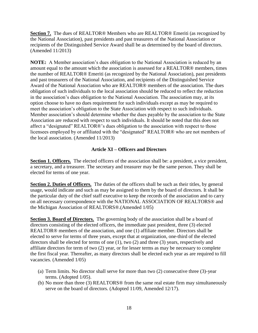**Section 7.** The dues of REALTOR® Members who are REALTOR® Emeriti (as recognized by the National Association), past presidents and past treasurers of the National Association or recipients of the Distinguished Service Award shall be as determined by the board of directors. (Amended 11/2013)

**NOTE:** A Member association's dues obligation to the National Association is reduced by an amount equal to the amount which the association is assessed for a REALTOR® members, times the number of REALTOR® Emeriti (as recognized by the National Association), past presidents and past treasurers of the National Association, and recipients of the Distinguished Service Award of the National Association who are REALTOR® members of the association. The dues obligation of such individuals to the local association should be reduced to reflect the reduction in the association's dues obligation to the National Association. The association may, at its option choose to have no dues requirement for such individuals except as may be required to meet the association's obligation to the State Association with respect to such individuals. Member association's should determine whether the dues payable by the association to the State Association are reduced with respect to such individuals. It should be noted that this does not affect a "designated" REALTOR®'s dues obligation to the association with respect to those licensees employed by or affiliated with the "designated" REALTOR® who are not members of the local association. (Amended 11/2013)

#### **Article XI – Officers and Directors**

**Section 1. Officers.** The elected officers of the association shall be: a president, a vice president, a secretary, and a treasurer. The secretary and treasurer may be the same person. They shall be elected for terms of one year.

**Section 2. Duties of Officers.** The duties of the officers shall be such as their titles, by general usage, would indicate and such as may be assigned to them by the board of directors. It shall be the particular duty of the chief staff executive to keep the records of the association and to carry on all necessary correspondence with the NATIONAL ASSOCIATION OF REALTORS® and the Michigan Association of REALTORS®.(Amended 1/05)

**Section 3. Board of Directors.** The governing body of the association shall be a board of directors consisting of the elected officers, the immediate past president, three (3) elected REALTOR® members of the association, and one (1) affiliate member. Directors shall be elected to serve for terms of three years, except that at organization, one-third of the elected directors shall be elected for terms of one (1), two (2) and three (3) years, respectively and affiliate directors for term of two (2) year, or for lesser terms as may be necessary to complete the first fiscal year. Thereafter, as many directors shall be elected each year as are required to fill vacancies. (Amended 1/05)

- (a) Term limits. No director shall serve for more than two (2) consecutive three (3)-year terms. (Adopted 1/05).
- (b) No more than three (3) REALTORS® from the same real estate firm may simultaneously serve on the board of directors. (Adopted 11/09, Amended 12/17).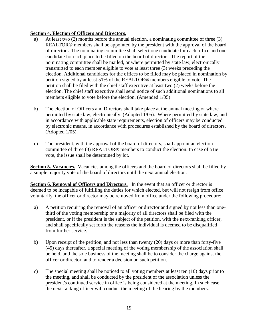# **Section 4. Election of Officers and Directors.**

- a) At least two (2) months before the annual election, a nominating committee of three (3) REALTOR® members shall be appointed by the president with the approval of the board of directors. The nominating committee shall select one candidate for each office and one candidate for each place to be filled on the board of directors. The report of the nominating committee shall be mailed, or where permitted by state law, electronically transmitted to each member eligible to vote at least three (3) weeks preceding the election. Additional candidates for the offices to be filled may be placed in nomination by petition signed by at least 51% of the REALTOR® members eligible to vote. The petition shall be filed with the chief staff executive at least two (2) weeks before the election. The chief staff executive shall send notice of such additional nominations to all members eligible to vote before the election. (Amended 1/05)
- b) The election of Officers and Directors shall take place at the annual meeting or where permitted by state law, electronically. (Adopted 1/05). Where permitted by state law, and in accordance with applicable state requirements, election of officers may be conducted by electronic means, in accordance with procedures established by the board of directors. (Adopted 1/05).
- c) The president, with the approval of the board of directors, shall appoint an election committee of three (3) REALTOR® members to conduct the election. In case of a tie vote, the issue shall be determined by lot.

**Section 5. Vacancies.** Vacancies among the officers and the board of directors shall be filled by a simple majority vote of the board of directors until the next annual election.

**Section 6. Removal of Officers and Directors.** In the event that an officer or director is deemed to be incapable of fulfilling the duties for which elected, but will not resign from office voluntarily, the officer or director may be removed from office under the following procedure:

- a) A petition requiring the removal of an officer or director and signed by not less than onethird of the voting membership or a majority of all directors shall be filed with the president, or if the president is the subject of the petition, with the next-ranking officer, and shall specifically set forth the reasons the individual is deemed to be disqualified from further service.
- b) Upon receipt of the petition, and not less than twenty (20) days or more than forty-five (45) days thereafter, a special meeting of the voting membership of the association shall be held, and the sole business of the meeting shall be to consider the charge against the officer or director, and to render a decision on such petition.
- c) The special meeting shall be noticed to all voting members at least ten (10) days prior to the meeting, and shall be conducted by the president of the association unless the president's continued service in office is being considered at the meeting. In such case, the next-ranking officer will conduct the meeting of the hearing by the members.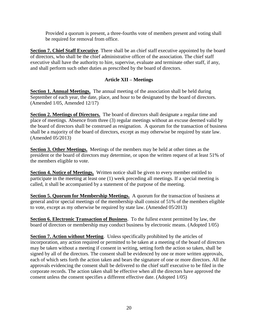Provided a quorum is present, a three-fourths vote of members present and voting shall be required for removal from office.

**Section 7. Chief Staff Executive**. There shall be an chief staff executive appointed by the board of directors, who shall be the chief administrative officer of the association. The chief staff executive shall have the authority to hire, supervise, evaluate and terminate other staff, if any, and shall perform such other duties as prescribed by the board of directors.

# **Article XII – Meetings**

**Section 1. Annual Meetings.** The annual meeting of the association shall be held during September of each year, the date, place, and hour to be designated by the board of directors. (Amended 1/05, Amended 12/17)

**Section 2. Meetings of Directors.** The board of directors shall designate a regular time and place of meetings. Absence from three (3) regular meetings without an excuse deemed valid by the board of directors shall be construed as resignation. A quorum for the transaction of business shall be a majority of the board of directors, except as may otherwise be required by state law. (Amended 05/2013)

**Section 3. Other Meetings.** Meetings of the members may be held at other times as the president or the board of directors may determine, or upon the written request of at least 51% of the members eligible to vote.

**Section 4. Notice of Meetings.** Written notice shall be given to every member entitled to participate in the meeting at least one (1) week preceding all meetings. If a special meeting is called, it shall be accompanied by a statement of the purpose of the meeting.

**Section 5. Quorum for Membership Meetings.** A quorum for the transaction of business at general and/or special meetings of the membership shall consist of 51% of the members eligible to vote, except as my otherwise be required by state law. (Amended 05/2013)

**Section 6. Electronic Transaction of Business**. To the fullest extent permitted by law, the board of directors or membership may conduct business by electronic means. (Adopted 1/05)

**Section 7. Action without Meeting.** Unless specifically prohibited by the articles of incorporation, any action required or permitted to be taken at a meeting of the board of directors may be taken without a meeting if consent in writing, setting forth the action so taken, shall be signed by all of the directors. The consent shall be evidenced by one or more written approvals, each of which sets forth the action taken and bears the signature of one or more directors. All the approvals evidencing the consent shall be delivered to the chief staff executive to be filed in the corporate records. The action taken shall be effective when all the directors have approved the consent unless the consent specifies a different effective date. (Adopted 1/05)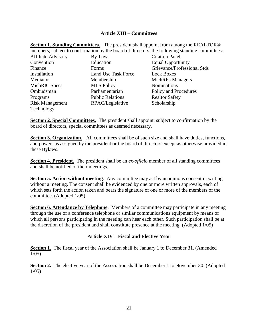### **Article XIII – Committees**

|                                                                                                |                         | <b>Section 1. Standing Committees.</b> The president shall appoint from among the REALTOR® |
|------------------------------------------------------------------------------------------------|-------------------------|--------------------------------------------------------------------------------------------|
| members, subject to confirmation by the board of directors, the following standing committees: |                         |                                                                                            |
| <b>Affiliate Advisory</b>                                                                      | By-Law                  | <b>Citation Panel</b>                                                                      |
| Convention                                                                                     | Education               | <b>Equal Opportunity</b>                                                                   |
| Finance                                                                                        | <b>Forms</b>            | Grievance/Professional Stds                                                                |
| Installation                                                                                   | Land Use Task Force     | <b>Lock Boxes</b>                                                                          |
| Mediator                                                                                       | Membership              | <b>MichRIC Managers</b>                                                                    |
| MichRIC Specs                                                                                  | <b>MLS Policy</b>       | <b>Nominations</b>                                                                         |
| Ombudsman                                                                                      | Parliamentarian         | Policy and Procedures                                                                      |
| Programs                                                                                       | <b>Public Relations</b> | <b>Realtor Safety</b>                                                                      |
| <b>Risk Management</b>                                                                         | RPAC/Legislative        | Scholarship                                                                                |
| Technology                                                                                     |                         |                                                                                            |

**Section 2. Special Committees.** The president shall appoint, subject to confirmation by the board of directors, special committees as deemed necessary.

**Section 3. Organization.** All committees shall be of such size and shall have duties, functions, and powers as assigned by the president or the board of directors except as otherwise provided in these Bylaws.

**Section 4. President.** The president shall be an *ex-officio* member of all standing committees and shall be notified of their meetings.

**Section 5. Action without meeting.** Any committee may act by unanimous consent in writing without a meeting. The consent shall be evidenced by one or more written approvals, each of which sets forth the action taken and bears the signature of one or more of the members of the committee. (Adopted 1/05)

**Section 6. Attendance by Telephone**. Members of a committee may participate in any meeting through the use of a conference telephone or similar communications equipment by means of which all persons participating in the meeting can hear each other. Such participation shall be at the discretion of the president and shall constitute presence at the meeting. (Adopted 1/05)

### **Article XIV – Fiscal and Elective Year**

**Section 1.** The fiscal year of the Association shall be January 1 to December 31. (Amended 1/05)

**Section 2.** The elective year of the Association shall be December 1 to November 30. (Adopted 1/05)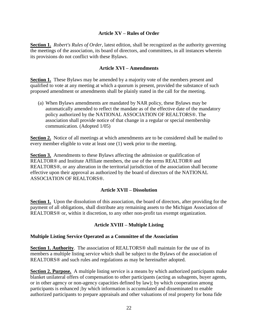# **Article XV – Rules of Order**

**Section 1.** *Robert's Rules of Order*, latest edition, shall be recognized as the authority governing the meetings of the association, its board of directors, and committees, in all instances wherein its provisions do not conflict with these Bylaws.

### **Article XVI – Amendments**

**Section 1.** These Bylaws may be amended by a majority vote of the members present and qualified to vote at any meeting at which a quorum is present, provided the substance of such proposed amendment or amendments shall be plainly stated in the call for the meeting.

(a) When Bylaws amendments are mandated by NAR policy, these Bylaws may be automatically amended to reflect the mandate as of the effective date of the mandatory policy authorized by the NATIONAL ASSOCIATION OF REALTORS®. The association shall provide notice of that change in a regular or special membership communication. (Adopted 1/05)

**Section 2.** Notice of all meetings at which amendments are to be considered shall be mailed to every member eligible to vote at least one (1) week prior to the meeting.

**Section 3.** Amendments to these Bylaws affecting the admission or qualification of REALTOR® and Institute Affiliate members, the use of the terms REALTOR® and REALTORS®, or any alteration in the territorial jurisdiction of the association shall become effective upon their approval as authorized by the board of directors of the NATIONAL ASSOCIATION OF REALTORS®.

### **Article XVII – Dissolution**

**Section 1.** Upon the dissolution of this association, the board of directors, after providing for the payment of all obligations, shall distribute any remaining assets to the Michigan Association of REALTORS® or, within it discretion, to any other non-profit tax exempt organization.

# **Article XVIII – Multiple Listing**

### **Multiple Listing Service Operated as a Committee of the Association**

**Section 1. Authority**. The association of REALTORS® shall maintain for the use of its members a multiple listing service which shall be subject to the Bylaws of the association of REALTORS® and such rules and regulations as may be hereinafter adopted.

**Section 2. Purpose.** A multiple listing service is a means by which authorized participants make blanket unilateral offers of compensation to other participants (acting as subagents, buyer agents, or in other agency or non-agency capacities defined by law); by which cooperation among participants is enhanced ;by which information is accumulated and disseminated to enable authorized participants to prepare appraisals and other valuations of real property for bona fide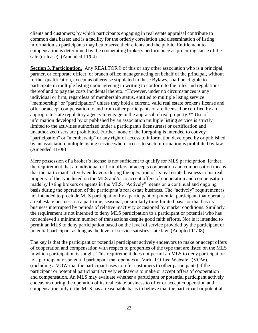clients and customers; by which participants engaging in real estate appraisal contribute to common data bases; and is a facility for the orderly correlation and dissemination of listing information so participants may better serve their clients and the public. Entitlement to compensation is determined by the cooperating broker's performance as procuring cause of the sale (or lease). (Amended 11/04)

**Section 3. Participation.** Any REALTOR® of this or any other association who is a principal, partner, or corporate officer, or branch office manager acting on behalf of the principal, without further qualification, except as otherwise stipulated in these Bylaws, shall be eligible to participate in multiple listing upon agreeing in writing to conform to the rules and regulations thereof and to pay the costs incidental thereto. \*However, under no circumstances is any individual or firm, regardless of membership status, entitled to multiple listing service "membership" or "participation" unless they hold a current, valid real estate broker's license and offer or accept compensation to and from other participants or are licensed or certified by an appropriate state regulatory agency to engage in the appraisal of real property.\*\* Use of information developed by or published by an association multiple listing service is strictly limited to the activities authorized under a participant's licensure(s) or certification and unauthorized users are prohibited. Further, none of the foregoing is intended to convey "participation" or "membership" or any right of access to information developed by or published by an association multiple listing service where access to such information is prohibited by law. (Amended 11/08)

Mere possession of a broker's license is not sufficient to qualify for MLS participation. Rather, the requirement that an individual or firm offers or accepts cooperation and compensation means that the participant actively endeavors during the operation of its real estate business to list real property of the type listed on the MLS and/or to accept offers of cooperation and compensation made by listing brokers or agents in the MLS. "Actively" means on a continual and ongoing basis during the operation of the participant's real estate business. The "actively" requirement is not intended to preclude MLS participation by a participant or potential participant that operates a real estate business on a part-time, seasonal, or similarly time-limited basis or that has its business interrupted by periods of relative inactivity occasioned by market conditions. Similarly, the requirement is not intended to deny MLS participation to a participant or potential who has not achieved a minimum number of transactions despite good faith efforts. Nor is it intended to permit an MLS to deny participation based on the level of service provided by the participant or potential participant as long as the level of service satisfies state law. (Adopted 11/08)

The key is that the participant or potential participant actively endeavors to make or accept offers of cooperation and compensation with respect to properties of the type that are listed on the MLS in which participation is sought. This requirement does not permit an MLS to deny participation to a participant or potential participant that operates a "Virtual Office Website" (VOW), (including a VOW that the participant uses to refer customers to other participants) if the participant or potential participant actively endeavors to make or accept offers of cooperation and compensation. An MLS may evaluate whether a participant or potential participant actively endeavors during the operation of its real estate business to offer or accept cooperation and compensation only if the MLS has a reasonable basis to believe that the participant or potential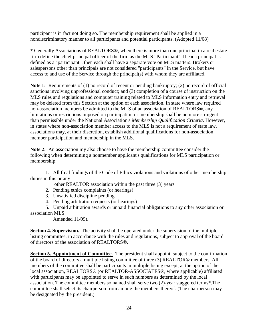participant is in fact not doing so. The membership requirement shall be applied in a nondiscriminatory manner to all participants and potential participants. (Adopted 11/08)

\* Generally Associations of REALTORS®, when there is more than one principal in a real estate firm define the chief principal officer of the firm as the MLS "Participant". If each principal is defined as a "participant", then each shall have a separate vote on MLS matters. Brokers or salespersons other than principals are not considered "participants" in the Service, but have access to and use of the Service through the principal(s) with whom they are affiliated.

**Note 1:** Requirements of (1) no record of recent or pending bankruptcy; (2) no record of official sanctions involving unprofessional conduct; and (3) completion of a course of instruction on the MLS rules and regulations and computer training related to MLS information entry and retrieval may be deleted from this Section at the option of each association. In state where law required non-association members be admitted to the MLS of an association of REALTORS®, any limitations or restrictions imposed on participation or membership shall be no more stringent than permissible under the National Association's *Membership Qualification Criteria*. However, in states where non-association member access to the MLS is not a requirement of state law, associations may, at their discretion, establish additional qualifications for non-association member participation and membership in the MLS.

**Note 2:** An association my also choose to have the membership committee consider the following when determining a nonmember applicant's qualifications for MLS participation or membership:

1. All final findings of the Code of Ethics violations and violations of other membership duties in this or any

other REALTOR association within the past three (3) years

- 2. Pending ethics complaints (or hearings)
- 3. Unsatisfied discipline pending
- 4. Pending arbitration requests (or hearings)

5. Unpaid arbitration awards or unpaid financial obligations to any other association or association MLS.

Amended 11/09).

**Section 4. Supervision.** The activity shall be operated under the supervision of the multiple listing committee, in accordance with the rules and regulations, subject to approval of the board of directors of the association of REALTORS®.

**Section 5. Appointment of Committee.** The president shall appoint, subject to the confirmation of the board of directors a multiple listing committee of three (3) REALTOR® members. All members of the committee shall be participants in multiple listing except, at the option of the local association, REALTORS® (or REALTOR-ASSOCIATES®, where applicable) affiliated with participants may be appointed to serve in such numbers as determined by the local association. The committee members so named shall serve two (2)-year staggered terms\*.The committee shall select its chairperson from among the members thereof. (The chairperson may be designated by the president.)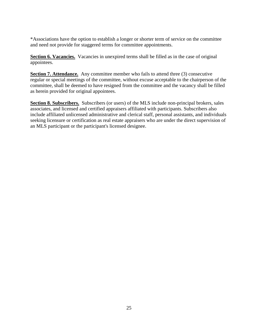\*Associations have the option to establish a longer or shorter term of service on the committee and need not provide for staggered terms for committee appointments.

**Section 6. Vacancies.** Vacancies in unexpired terms shall be filled as in the case of original appointees.

**Section 7. Attendance.** Any committee member who fails to attend three (3) consecutive regular or special meetings of the committee, without excuse acceptable to the chairperson of the committee, shall be deemed to have resigned from the committee and the vacancy shall be filled as herein provided for original appointees.

**Section 8. Subscribers.** Subscribers (or users) of the MLS include non-principal brokers, sales associates, and licensed and certified appraisers affiliated with participants. Subscribers also include affiliated unlicensed administrative and clerical staff, personal assistants, and individuals seeking licensure or certification as real estate appraisers who are under the direct supervision of an MLS participant or the participant's licensed designee.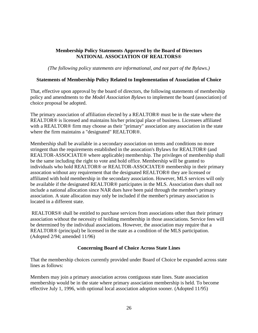# **Membership Policy Statements Approved by the Board of Directors NATIONAL ASSOCIATION OF REALTORS®**

*(The following policy statements are informational, and not part of the Bylaws.)*

# **Statements of Membership Policy Related to Implementation of Association of Choice**

That, effective upon approval by the board of directors, the following statements of membership policy and amendments to the *Model Association Bylaws* to implement the board (association) of choice proposal be adopted.

The primary association of affiliation elected by a REALTOR® must be in the state where the REALTOR® is licensed and maintains his/her principal place of business. Licensees affiliated with a REALTOR® firm may choose as their "primary" association any association in the state where the firm maintains a "designated" REALTOR®.

Membership shall be available in a secondary association on terms and conditions no more stringent than the requirements established in the assocation's Bylaws for REALTOR® (and REALTOR-ASSOCIATE® where applicable) membership. The privileges of membership shall be the same including the right to vote and hold office. Membership will be granted to individuals who hold REALTOR® or REALTOR-ASSOCIATE® membership in their primary assocation without any requirement that the designated REALTOR® they are licensed or affiliated with hold membership in the secondary association. However, MLS services will only be available if the designated REALTOR® participates in the MLS. Association dues shall not include a national allocation since NAR dues have been paid through the member's primary association. A state allocation may only be included if the member's primary association is located in a different state.

REALTORS® shall be entitled to purchase services from associations other than their primary association without the necessity of holding membership in those associations. Service fees will be determined by the individual associations. However, the association may require that a REALTOR® (principal) be licensed in the state as a condition of the MLS participation. (Adopted 2/94; amended 11/96)

### **Concerning Board of Choice Across State Lines**

That the membership choices currently provided under Board of Choice be expanded across state lines as follows:

Members may join a primary association across contiguous state lines. State association membership would be in the state where primary association membership is held. To become effective July 1, 1996, with optional local association adoption sooner. (Adopted 11/95)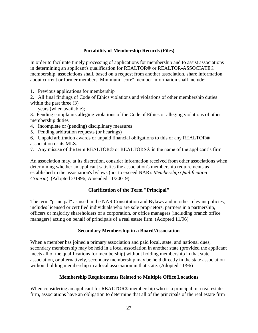# **Portability of Membership Records (Files)**

In order to facilitate timely processing of applications for membership and to assist associations in determining an applicant's qualification for REALTOR® or REALTOR-ASSOCIATE® membership, associations shall, based on a request from another association, share information about current or former members. Minimum "core" member information shall include:

1. Previous applications for membership

2. All final findings of Code of Ethics violations and violations of other membership duties within the past three (3)

years (when available);

3. Pending complaints alleging violations of the Code of Ethics or alleging violations of other membership duties

4. Incomplete or (pending) disciplinary measures

- 5. Pending arbitration requests (or hearings)
- 6. Unpaid arbitration awards or unpaid financial obligations to this or any REALTOR® association or its MLS.
- 7. Any misuse of the term REALTOR® or REALTORS® in the name of the applicant's firm

An association may, at its discretion, consider information received from other associations when determining whether an applicant satisfies the association's membership requirements as established in the association's bylaws (not to exceed NAR's *Membership Qualification Criteria*). (Adopted 2/1996, Amended 11/20019)

# **Clarification of the Term "Principal"**

The term "principal" as used in the NAR Constitution and Bylaws and in other relevant policies, includes licensed or certified individuals who are sole proprietors, partners in a partnership, officers or majority shareholders of a corporation, or office managers (including branch office managers) acting on behalf of principals of a real estate firm. (Adopted 11/96)

# **Secondary Membership in a Board/Association**

When a member has joined a primary association and paid local, state, and national dues, secondary membership may be held in a local association in another state (provided the applicant meets all of the qualifications for membership) without holding membership in that state association, or alternatively, secondary membership may be held directly in the state association without holding membership in a local association in that state. (Adopted 11/96)

# **Membership Requirements Related to Multiple Office Locations**

When considering an applicant for REALTOR<sup>®</sup> membership who is a principal in a real estate firm, associations have an obligation to determine that all of the principals of the real estate firm